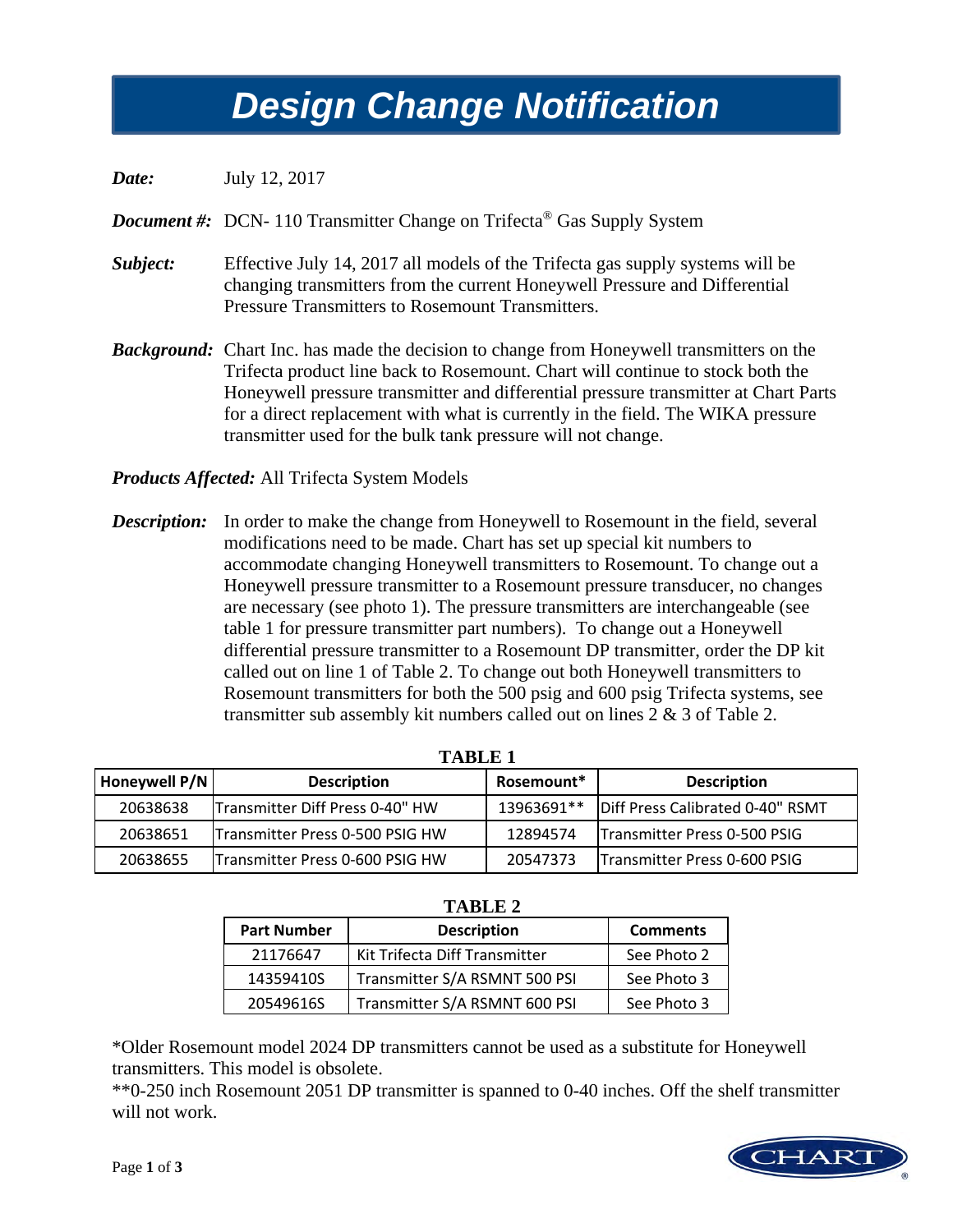## *Design Change Notification Design Change Notification*

*Date:* July 12, 2017

*Document #:* DCN- 110 Transmitter Change on Trifecta<sup>®</sup> Gas Supply System

- *Subject:* Effective July 14, 2017 all models of the Trifecta gas supply systems will be changing transmitters from the current Honeywell Pressure and Differential Pressure Transmitters to Rosemount Transmitters.
- *Background:* Chart Inc. has made the decision to change from Honeywell transmitters on the Trifecta product line back to Rosemount. Chart will continue to stock both the Honeywell pressure transmitter and differential pressure transmitter at Chart Parts for a direct replacement with what is currently in the field. The WIKA pressure transmitter used for the bulk tank pressure will not change.

*Products Affected:* All Trifecta System Models

**Description:** In order to make the change from Honeywell to Rosemount in the field, several modifications need to be made. Chart has set up special kit numbers to accommodate changing Honeywell transmitters to Rosemount. To change out a Honeywell pressure transmitter to a Rosemount pressure transducer, no changes are necessary (see photo 1). The pressure transmitters are interchangeable (see table 1 for pressure transmitter part numbers). To change out a Honeywell differential pressure transmitter to a Rosemount DP transmitter, order the DP kit called out on line 1 of Table 2. To change out both Honeywell transmitters to Rosemount transmitters for both the 500 psig and 600 psig Trifecta systems, see transmitter sub assembly kit numbers called out on lines 2 & 3 of Table 2.

| TARLE <sub>1</sub> |                                 |            |                                  |  |  |
|--------------------|---------------------------------|------------|----------------------------------|--|--|
| Honeywell P/N      | <b>Description</b>              | Rosemount* | <b>Description</b>               |  |  |
| 20638638           | Transmitter Diff Press 0-40" HW | 13963691** | Diff Press Calibrated 0-40" RSMT |  |  |
| 20638651           | Transmitter Press 0-500 PSIG HW | 12894574   | Transmitter Press 0-500 PSIG     |  |  |
| 20638655           | Transmitter Press 0-600 PSIG HW | 20547373   | Transmitter Press 0-600 PSIG     |  |  |

| . |
|---|
|---|

| .                  |                               |                 |  |  |
|--------------------|-------------------------------|-----------------|--|--|
| <b>Part Number</b> | <b>Description</b>            | <b>Comments</b> |  |  |
| 21176647           | Kit Trifecta Diff Transmitter | See Photo 2     |  |  |
| 14359410S          | Transmitter S/A RSMNT 500 PSI | See Photo 3     |  |  |
| 20549616S          | Transmitter S/A RSMNT 600 PSI | See Photo 3     |  |  |

 **TABLE 2** 

\*Older Rosemount model 2024 DP transmitters cannot be used as a substitute for Honeywell transmitters. This model is obsolete.

\*\*0-250 inch Rosemount 2051 DP transmitter is spanned to 0-40 inches. Off the shelf transmitter will not work.

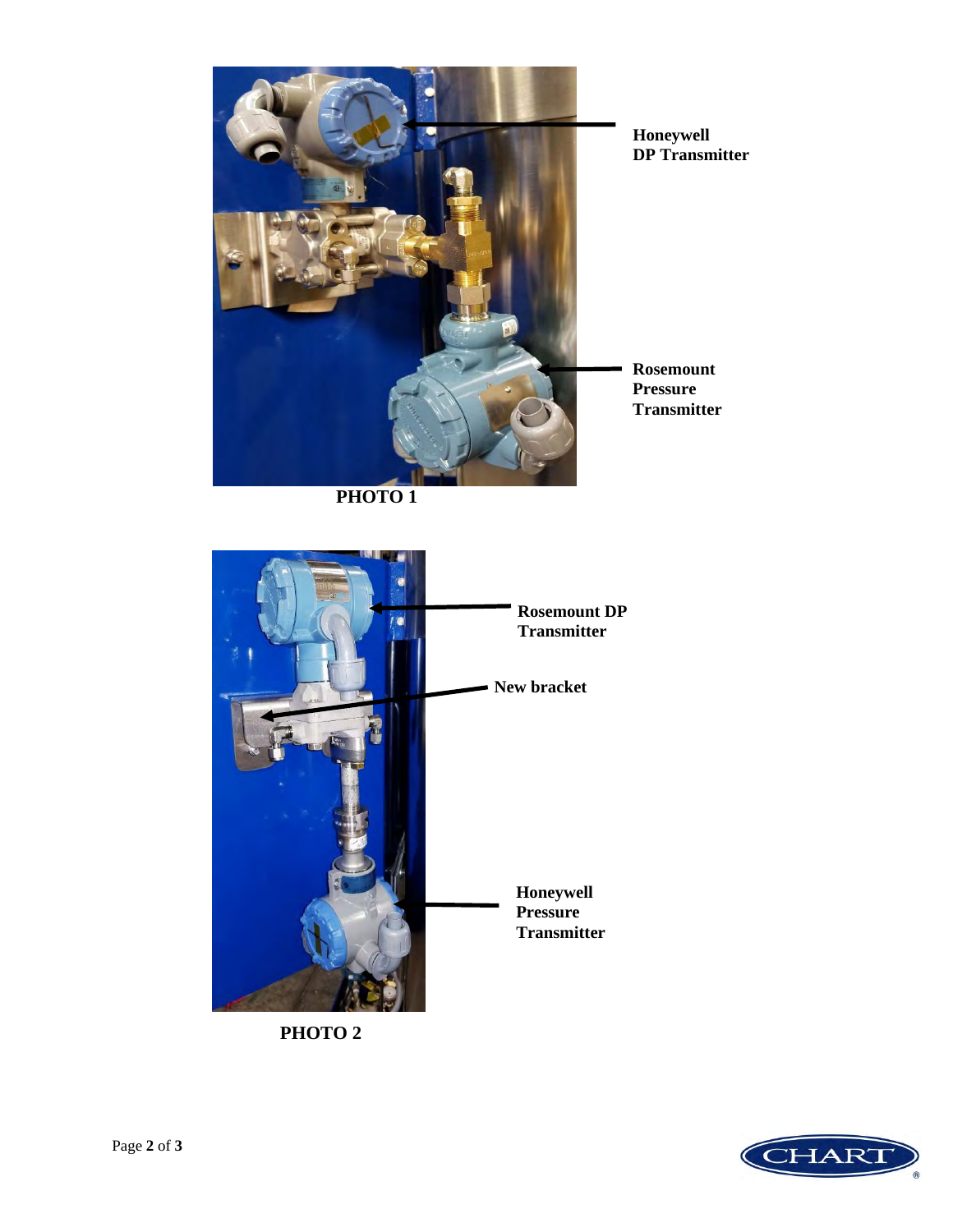

**PHOTO 1** 



**PHOTO 2**